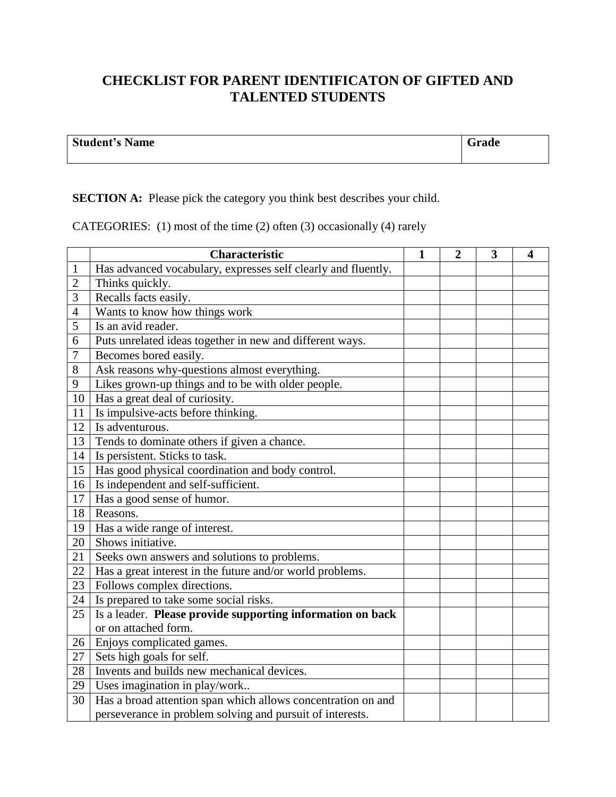## **CHECKLIST FOR PARENT IDENTIFICATON OF GIFTED AND TALENTED STUDENTS**

| <b>Student's Name</b> | `rade |
|-----------------------|-------|
|                       |       |

## **SECTION A:** Please pick the category you think best describes your child.

CATEGORIES: (1) most of the time (2) often (3) occasionally (4) rarely

|                | <b>Characteristic</b>                                         | $\mathbf{1}$ | $\overline{2}$ | 3 | $\overline{\mathbf{4}}$ |
|----------------|---------------------------------------------------------------|--------------|----------------|---|-------------------------|
| 1              | Has advanced vocabulary, expresses self clearly and fluently. |              |                |   |                         |
| $\overline{c}$ | Thinks quickly.                                               |              |                |   |                         |
| 3              | Recalls facts easily.                                         |              |                |   |                         |
| 4              | Wants to know how things work                                 |              |                |   |                         |
| 5              | Is an avid reader.                                            |              |                |   |                         |
| 6              | Puts unrelated ideas together in new and different ways.      |              |                |   |                         |
| 7              | Becomes bored easily.                                         |              |                |   |                         |
| 8              | Ask reasons why-questions almost everything.                  |              |                |   |                         |
| 9              | Likes grown-up things and to be with older people.            |              |                |   |                         |
| 10             | Has a great deal of curiosity.                                |              |                |   |                         |
| 11             | Is impulsive-acts before thinking.                            |              |                |   |                         |
| 12             | Is adventurous.                                               |              |                |   |                         |
| 13             | Tends to dominate others if given a chance.                   |              |                |   |                         |
| 14             | Is persistent. Sticks to task.                                |              |                |   |                         |
| 15             | Has good physical coordination and body control.              |              |                |   |                         |
| 16             | Is independent and self-sufficient.                           |              |                |   |                         |
| 17             | Has a good sense of humor.                                    |              |                |   |                         |
| 18             | Reasons.                                                      |              |                |   |                         |
| 19             | Has a wide range of interest.                                 |              |                |   |                         |
| 20             | Shows initiative.                                             |              |                |   |                         |
| 21             | Seeks own answers and solutions to problems.                  |              |                |   |                         |
| 22             | Has a great interest in the future and/or world problems.     |              |                |   |                         |
| 23             | Follows complex directions.                                   |              |                |   |                         |
| 24             | Is prepared to take some social risks.                        |              |                |   |                         |
| 25             | Is a leader. Please provide supporting information on back    |              |                |   |                         |
|                | or on attached form.                                          |              |                |   |                         |
| 26             | Enjoys complicated games.                                     |              |                |   |                         |
| 27             | Sets high goals for self.                                     |              |                |   |                         |
| 28             | Invents and builds new mechanical devices.                    |              |                |   |                         |
| 29             | Uses imagination in play/work                                 |              |                |   |                         |
| 30             | Has a broad attention span which allows concentration on and  |              |                |   |                         |
|                | perseverance in problem solving and pursuit of interests.     |              |                |   |                         |